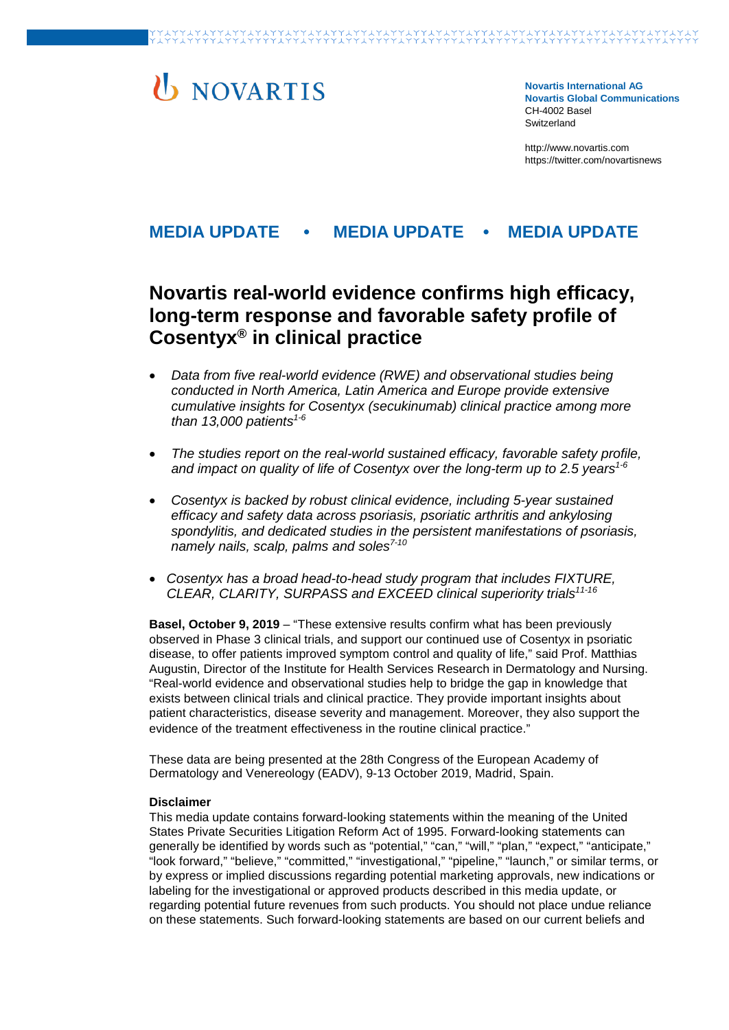# **U** NOVARTIS

**Novartis International AG Novartis Global Communications**  CH-4002 Basel Switzerland

[http://www.novartis.com](http://www.novartis.com/) https://twitter.com/novartisnews

### **MEDIA UPDATE • MEDIA UPDATE • MEDIA UPDATE**

## **Novartis real-world evidence confirms high efficacy, long-term response and favorable safety profile of Cosentyx® in clinical practice**

- *Data from five real-world evidence (RWE) and observational studies being conducted in North America, Latin America and Europe provide extensive cumulative insights for Cosentyx (secukinumab) clinical practice among more than 13,000 patients1-6*
- *The studies report on the real-world sustained efficacy, favorable safety profile,*  and impact on quality of life of Cosentyx over the long-term up to 2.5 years<sup>1-6</sup>
- *Cosentyx is backed by robust clinical evidence, including 5-year sustained efficacy and safety data across psoriasis, psoriatic arthritis and ankylosing spondylitis, and dedicated studies in the persistent manifestations of psoriasis, namely nails, scalp, palms and soles7-10*
- *Cosentyx has a broad head-to-head study program that includes FIXTURE, CLEAR, CLARITY, SURPASS and EXCEED clinical superiority trials11-16*

**Basel, October 9, 2019** – "These extensive results confirm what has been previously observed in Phase 3 clinical trials, and support our continued use of Cosentyx in psoriatic disease, to offer patients improved symptom control and quality of life," said Prof. Matthias Augustin, Director of the Institute for Health Services Research in Dermatology and Nursing. "Real-world evidence and observational studies help to bridge the gap in knowledge that exists between clinical trials and clinical practice. They provide important insights about patient characteristics, disease severity and management. Moreover, they also support the evidence of the treatment effectiveness in the routine clinical practice."

These data are being presented at the 28th Congress of the European Academy of Dermatology and Venereology (EADV), 9-13 October 2019, Madrid, Spain.

#### **Disclaimer**

This media update contains forward-looking statements within the meaning of the United States Private Securities Litigation Reform Act of 1995. Forward-looking statements can generally be identified by words such as "potential," "can," "will," "plan," "expect," "anticipate," "look forward," "believe," "committed," "investigational," "pipeline," "launch," or similar terms, or by express or implied discussions regarding potential marketing approvals, new indications or labeling for the investigational or approved products described in this media update, or regarding potential future revenues from such products. You should not place undue reliance on these statements. Such forward-looking statements are based on our current beliefs and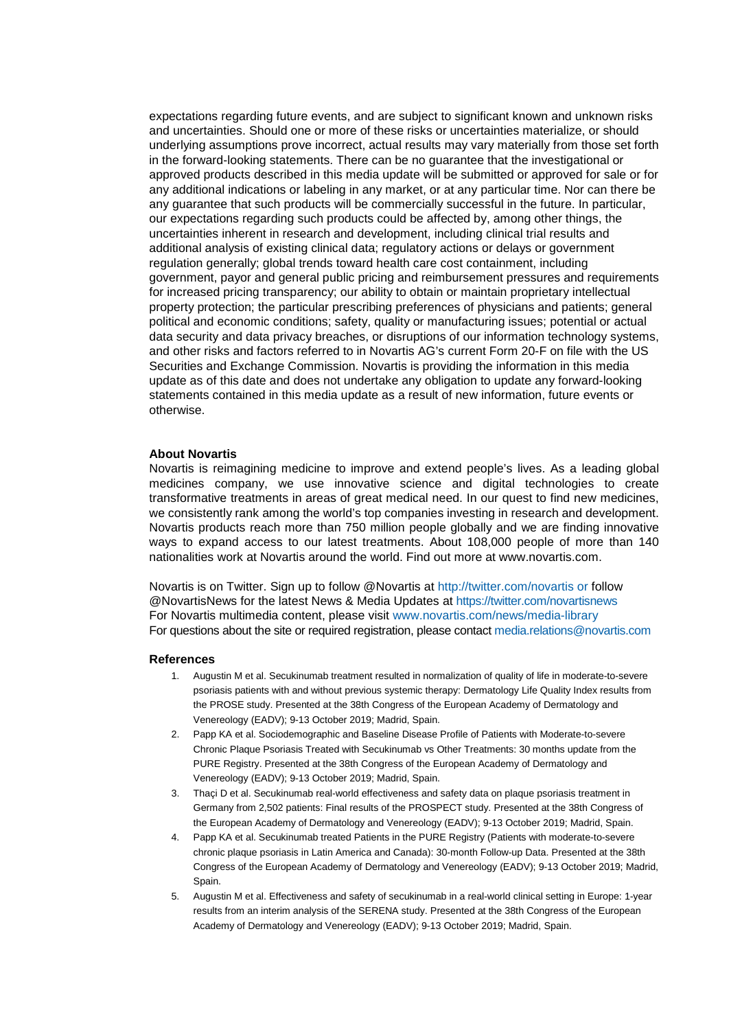expectations regarding future events, and are subject to significant known and unknown risks and uncertainties. Should one or more of these risks or uncertainties materialize, or should underlying assumptions prove incorrect, actual results may vary materially from those set forth in the forward-looking statements. There can be no guarantee that the investigational or approved products described in this media update will be submitted or approved for sale or for any additional indications or labeling in any market, or at any particular time. Nor can there be any guarantee that such products will be commercially successful in the future. In particular, our expectations regarding such products could be affected by, among other things, the uncertainties inherent in research and development, including clinical trial results and additional analysis of existing clinical data; regulatory actions or delays or government regulation generally; global trends toward health care cost containment, including government, payor and general public pricing and reimbursement pressures and requirements for increased pricing transparency; our ability to obtain or maintain proprietary intellectual property protection; the particular prescribing preferences of physicians and patients; general political and economic conditions; safety, quality or manufacturing issues; potential or actual data security and data privacy breaches, or disruptions of our information technology systems, and other risks and factors referred to in Novartis AG's current Form 20-F on file with the US Securities and Exchange Commission. Novartis is providing the information in this media update as of this date and does not undertake any obligation to update any forward-looking statements contained in this media update as a result of new information, future events or otherwise.

#### **About Novartis**

Novartis is reimagining medicine to improve and extend people's lives. As a leading global medicines company, we use innovative science and digital technologies to create transformative treatments in areas of great medical need. In our quest to find new medicines, we consistently rank among the world's top companies investing in research and development. Novartis products reach more than 750 million people globally and we are finding innovative ways to expand access to our latest treatments. About 108,000 people of more than 140 nationalities work at Novartis around the world. Find out more at [www.novartis.com.](http://www.novartis.com/)

Novartis is on Twitter. Sign up to follow @Novartis at<http://twitter.com/novartis> or follow @NovartisNews for the latest News & Media Updates at<https://twitter.com/novartisnews> For Novartis multimedia content, please visit [www.novartis.com/news/media-library](http://www.novartis.com/news/media-library) For questions about the site or required registration, please contact [media.relations@novartis.com](mailto:media.relations@novartis.com)

#### **References**

- 1. Augustin M et al. Secukinumab treatment resulted in normalization of quality of life in moderate-to-severe psoriasis patients with and without previous systemic therapy: Dermatology Life Quality Index results from the PROSE study. Presented at the 38th Congress of the European Academy of Dermatology and Venereology (EADV); 9-13 October 2019; Madrid, Spain.
- 2. Papp KA et al. Sociodemographic and Baseline Disease Profile of Patients with Moderate-to-severe Chronic Plaque Psoriasis Treated with Secukinumab vs Other Treatments: 30 months update from the PURE Registry. Presented at the 38th Congress of the European Academy of Dermatology and Venereology (EADV); 9-13 October 2019; Madrid, Spain.
- 3. Thaçi D et al. Secukinumab real-world effectiveness and safety data on plaque psoriasis treatment in Germany from 2,502 patients: Final results of the PROSPECT study. Presented at the 38th Congress of the European Academy of Dermatology and Venereology (EADV); 9-13 October 2019; Madrid, Spain.
- 4. Papp KA et al. Secukinumab treated Patients in the PURE Registry (Patients with moderate-to-severe chronic plaque psoriasis in Latin America and Canada): 30-month Follow-up Data. Presented at the 38th Congress of the European Academy of Dermatology and Venereology (EADV); 9-13 October 2019; Madrid, Spain.
- 5. Augustin M et al. Effectiveness and safety of secukinumab in a real-world clinical setting in Europe: 1-year results from an interim analysis of the SERENA study. Presented at the 38th Congress of the European Academy of Dermatology and Venereology (EADV); 9-13 October 2019; Madrid, Spain.